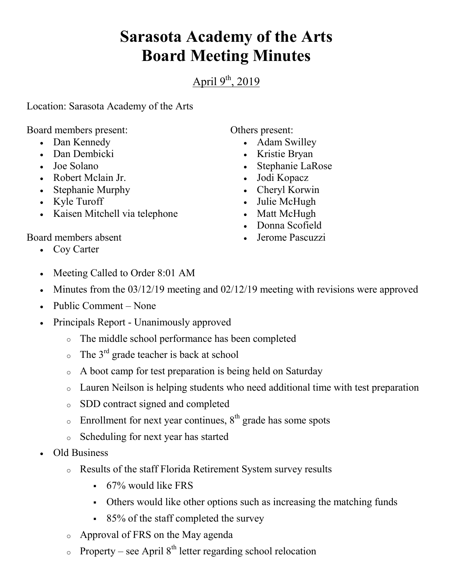## **Sarasota Academy of the Arts Board Meeting Minutes**

April  $9<sup>th</sup>$ , 2019

Location: Sarasota Academy of the Arts

Board members present:

- Dan Kennedy
- Dan Dembicki
- Joe Solano
- Robert Mclain Jr.
- Stephanie Murphy
- Kyle Turoff
- Kaisen Mitchell via telephone

Others present:

- Adam Swilley
- Kristie Bryan
- Stephanie LaRose
- Jodi Kopacz
- Cheryl Korwin
- Julie McHugh
- Matt McHugh
- Donna Scofield
- Jerome Pascuzzi

Board members absent

- Coy Carter
- Meeting Called to Order 8:01 AM
- Minutes from the 03/12/19 meeting and 02/12/19 meeting with revisions were approved
- Public Comment None
- Principals Report Unanimously approved
	- o The middle school performance has been completed
	- $\circ$  The 3<sup>rd</sup> grade teacher is back at school
	- o A boot camp for test preparation is being held on Saturday
	- o Lauren Neilson is helping students who need additional time with test preparation
	- o SDD contract signed and completed
	- $\circ$  Enrollment for next year continues,  $8<sup>th</sup>$  grade has some spots
	- o Scheduling for next year has started
- Old Business
	- o Results of the staff Florida Retirement System survey results
		- 67% would like FRS
		- Others would like other options such as increasing the matching funds
		- 85% of the staff completed the survey
	- o Approval of FRS on the May agenda
	- $\circ$  Property see April 8<sup>th</sup> letter regarding school relocation